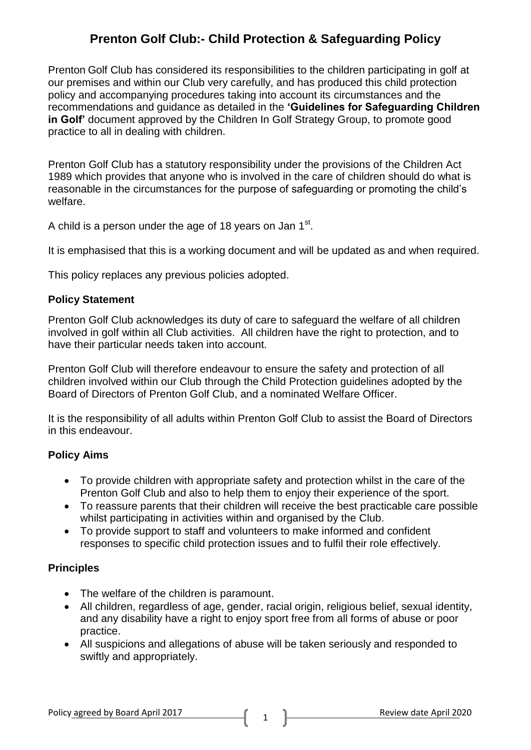Prenton Golf Club has considered its responsibilities to the children participating in golf at our premises and within our Club very carefully, and has produced this child protection policy and accompanying procedures taking into account its circumstances and the recommendations and guidance as detailed in the **'Guidelines for Safeguarding Children in Golf'** document approved by the Children In Golf Strategy Group, to promote good practice to all in dealing with children.

Prenton Golf Club has a statutory responsibility under the provisions of the Children Act 1989 which provides that anyone who is involved in the care of children should do what is reasonable in the circumstances for the purpose of safeguarding or promoting the child's welfare.

A child is a person under the age of 18 years on Jan 1 $^{\rm st}$ .

It is emphasised that this is a working document and will be updated as and when required.

This policy replaces any previous policies adopted.

#### **Policy Statement**

Prenton Golf Club acknowledges its duty of care to safeguard the welfare of all children involved in golf within all Club activities. All children have the right to protection, and to have their particular needs taken into account.

Prenton Golf Club will therefore endeavour to ensure the safety and protection of all children involved within our Club through the Child Protection guidelines adopted by the Board of Directors of Prenton Golf Club, and a nominated Welfare Officer.

It is the responsibility of all adults within Prenton Golf Club to assist the Board of Directors in this endeavour.

#### **Policy Aims**

- To provide children with appropriate safety and protection whilst in the care of the Prenton Golf Club and also to help them to enjoy their experience of the sport.
- To reassure parents that their children will receive the best practicable care possible whilst participating in activities within and organised by the Club.
- To provide support to staff and volunteers to make informed and confident responses to specific child protection issues and to fulfil their role effectively.

#### **Principles**

- The welfare of the children is paramount.
- All children, regardless of age, gender, racial origin, religious belief, sexual identity, and any disability have a right to enjoy sport free from all forms of abuse or poor practice.
- All suspicions and allegations of abuse will be taken seriously and responded to swiftly and appropriately.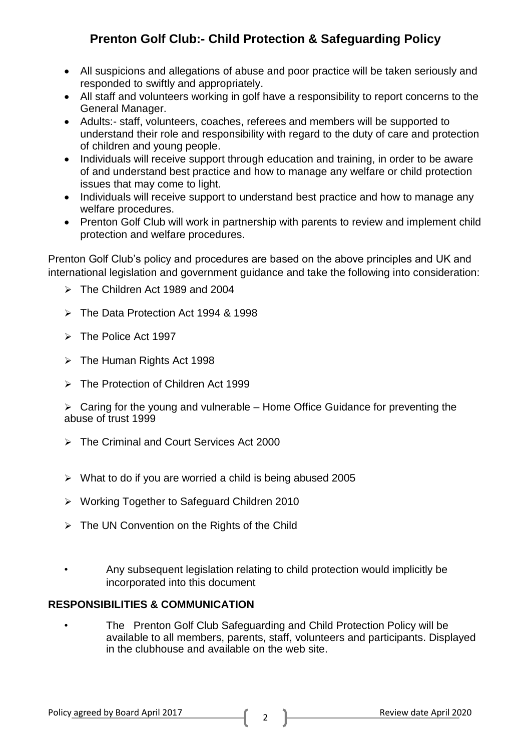- All suspicions and allegations of abuse and poor practice will be taken seriously and responded to swiftly and appropriately.
- All staff and volunteers working in golf have a responsibility to report concerns to the General Manager.
- Adults:- staff, volunteers, coaches, referees and members will be supported to understand their role and responsibility with regard to the duty of care and protection of children and young people.
- Individuals will receive support through education and training, in order to be aware of and understand best practice and how to manage any welfare or child protection issues that may come to light.
- Individuals will receive support to understand best practice and how to manage any welfare procedures.
- Prenton Golf Club will work in partnership with parents to review and implement child protection and welfare procedures.

Prenton Golf Club's policy and procedures are based on the above principles and UK and international legislation and government guidance and take the following into consideration:

- $\triangleright$  The Children Act 1989 and 2004
- The Data Protection Act 1994 & 1998
- $\triangleright$  The Police Act 1997
- $\triangleright$  The Human Rights Act 1998
- The Protection of Children Act 1999

 $\triangleright$  Caring for the young and vulnerable – Home Office Guidance for preventing the abuse of trust 1999

- The Criminal and Court Services Act 2000
- $\triangleright$  What to do if you are worried a child is being abused 2005
- Working Together to Safeguard Children 2010
- $\triangleright$  The UN Convention on the Rights of the Child
- Any subsequent legislation relating to child protection would implicitly be incorporated into this document

## **RESPONSIBILITIES & COMMUNICATION**

• The Prenton Golf Club Safeguarding and Child Protection Policy will be available to all members, parents, staff, volunteers and participants. Displayed in the clubhouse and available on the web site.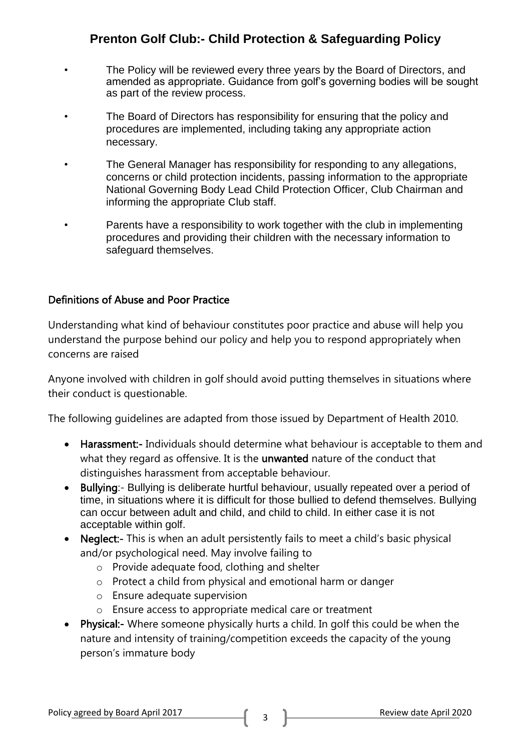- The Policy will be reviewed every three years by the Board of Directors, and amended as appropriate. Guidance from golf's governing bodies will be sought as part of the review process.
- The Board of Directors has responsibility for ensuring that the policy and procedures are implemented, including taking any appropriate action necessary.
- The General Manager has responsibility for responding to any allegations, concerns or child protection incidents, passing information to the appropriate National Governing Body Lead Child Protection Officer, Club Chairman and informing the appropriate Club staff.
- Parents have a responsibility to work together with the club in implementing procedures and providing their children with the necessary information to safeguard themselves.

### Definitions of Abuse and Poor Practice

Understanding what kind of behaviour constitutes poor practice and abuse will help you understand the purpose behind our policy and help you to respond appropriately when concerns are raised

Anyone involved with children in golf should avoid putting themselves in situations where their conduct is questionable.

The following guidelines are adapted from those issued by Department of Health 2010.

- Harassment:- Individuals should determine what behaviour is acceptable to them and what they regard as offensive. It is the **unwanted** nature of the conduct that distinguishes harassment from acceptable behaviour.
- Bullying:- Bullying is deliberate hurtful behaviour, usually repeated over a period of time, in situations where it is difficult for those bullied to defend themselves. Bullying can occur between adult and child, and child to child. In either case it is not acceptable within golf.
- Neglect:- This is when an adult persistently fails to meet a child's basic physical and/or psychological need. May involve failing to
	- o Provide adequate food, clothing and shelter
	- o Protect a child from physical and emotional harm or danger
	- o Ensure adequate supervision
	- o Ensure access to appropriate medical care or treatment
- Physical:- Where someone physically hurts a child. In golf this could be when the nature and intensity of training/competition exceeds the capacity of the young person's immature body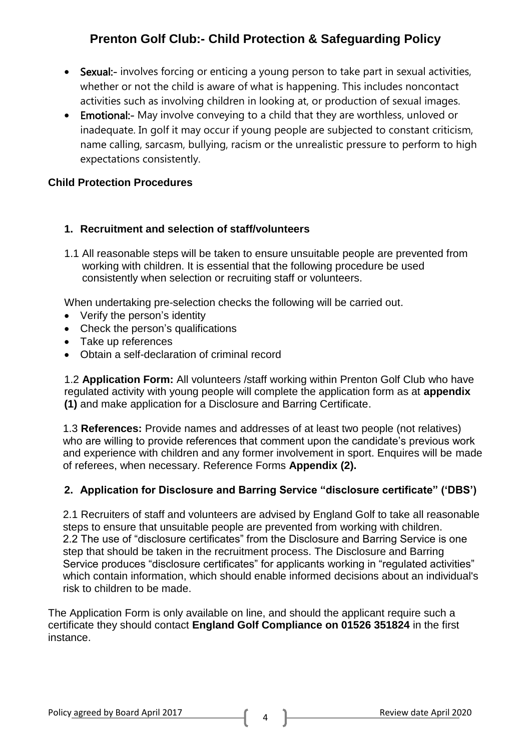- Sexual:- involves forcing or enticing a young person to take part in sexual activities, whether or not the child is aware of what is happening. This includes noncontact activities such as involving children in looking at, or production of sexual images.
- Emotional:- May involve conveying to a child that they are worthless, unloved or inadequate. In golf it may occur if young people are subjected to constant criticism, name calling, sarcasm, bullying, racism or the unrealistic pressure to perform to high expectations consistently.

## **Child Protection Procedures**

### **1. Recruitment and selection of staff/volunteers**

1.1 All reasonable steps will be taken to ensure unsuitable people are prevented from working with children. It is essential that the following procedure be used consistently when selection or recruiting staff or volunteers.

When undertaking pre-selection checks the following will be carried out.

- Verify the person's identity
- Check the person's qualifications
- Take up references
- Obtain a self-declaration of criminal record

1.2 **Application Form:** All volunteers /staff working within Prenton Golf Club who have regulated activity with young people will complete the application form as at **appendix (1)** and make application for a Disclosure and Barring Certificate.

1.3 **References:** Provide names and addresses of at least two people (not relatives) who are willing to provide references that comment upon the candidate's previous work and experience with children and any former involvement in sport. Enquires will be made of referees, when necessary. Reference Forms **Appendix (2).**

## **2. Application for Disclosure and Barring Service "disclosure certificate" ('DBS')**

2.1 Recruiters of staff and volunteers are advised by England Golf to take all reasonable steps to ensure that unsuitable people are prevented from working with children. 2.2 The use of "disclosure certificates" from the Disclosure and Barring Service is one step that should be taken in the recruitment process. The Disclosure and Barring Service produces "disclosure certificates" for applicants working in "regulated activities" which contain information, which should enable informed decisions about an individual's risk to children to be made.

The Application Form is only available on line, and should the applicant require such a certificate they should contact **England Golf Compliance on 01526 351824** in the first instance.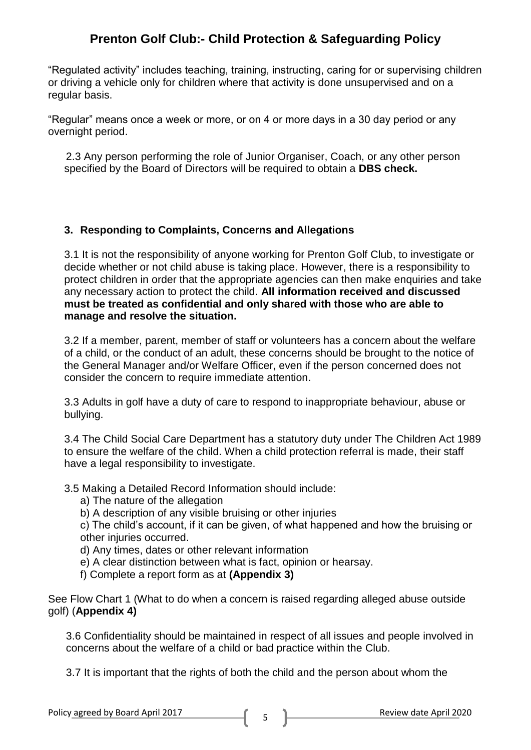"Regulated activity" includes teaching, training, instructing, caring for or supervising children or driving a vehicle only for children where that activity is done unsupervised and on a regular basis.

"Regular" means once a week or more, or on 4 or more days in a 30 day period or any overnight period.

 2.3 Any person performing the role of Junior Organiser, Coach, or any other person specified by the Board of Directors will be required to obtain a **DBS check.**

### **3. Responding to Complaints, Concerns and Allegations**

3.1 It is not the responsibility of anyone working for Prenton Golf Club, to investigate or decide whether or not child abuse is taking place. However, there is a responsibility to protect children in order that the appropriate agencies can then make enquiries and take any necessary action to protect the child. **All information received and discussed must be treated as confidential and only shared with those who are able to manage and resolve the situation.**

3.2 If a member, parent, member of staff or volunteers has a concern about the welfare of a child, or the conduct of an adult, these concerns should be brought to the notice of the General Manager and/or Welfare Officer, even if the person concerned does not consider the concern to require immediate attention.

3.3 Adults in golf have a duty of care to respond to inappropriate behaviour, abuse or bullying.

3.4 The Child Social Care Department has a statutory duty under The Children Act 1989 to ensure the welfare of the child. When a child protection referral is made, their staff have a legal responsibility to investigate.

3.5 Making a Detailed Record Information should include:

- a) The nature of the allegation
- b) A description of any visible bruising or other injuries

c) The child's account, if it can be given, of what happened and how the bruising or other injuries occurred.

- d) Any times, dates or other relevant information
- e) A clear distinction between what is fact, opinion or hearsay.
- f) Complete a report form as at **(Appendix 3)**

See Flow Chart 1 (What to do when a concern is raised regarding alleged abuse outside golf) (**Appendix 4)**

3.6 Confidentiality should be maintained in respect of all issues and people involved in concerns about the welfare of a child or bad practice within the Club.

3.7 It is important that the rights of both the child and the person about whom the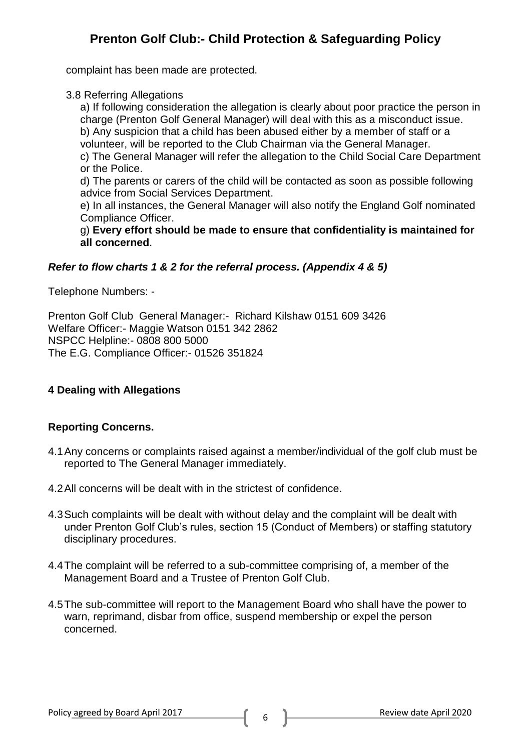complaint has been made are protected.

3.8 Referring Allegations

a) If following consideration the allegation is clearly about poor practice the person in charge (Prenton Golf General Manager) will deal with this as a misconduct issue.

b) Any suspicion that a child has been abused either by a member of staff or a volunteer, will be reported to the Club Chairman via the General Manager.

c) The General Manager will refer the allegation to the Child Social Care Department or the Police.

d) The parents or carers of the child will be contacted as soon as possible following advice from Social Services Department.

e) In all instances, the General Manager will also notify the England Golf nominated Compliance Officer.

g) **Every effort should be made to ensure that confidentiality is maintained for all concerned**.

### *Refer to flow charts 1 & 2 for the referral process. (Appendix 4 & 5)*

Telephone Numbers: -

Prenton Golf Club General Manager:- Richard Kilshaw 0151 609 3426 Welfare Officer:- Maggie Watson 0151 342 2862 NSPCC Helpline:- 0808 800 5000 The E.G. Compliance Officer:- 01526 351824

## **4 Dealing with Allegations**

#### **Reporting Concerns.**

- 4.1Any concerns or complaints raised against a member/individual of the golf club must be reported to The General Manager immediately.
- 4.2All concerns will be dealt with in the strictest of confidence.
- 4.3Such complaints will be dealt with without delay and the complaint will be dealt with under Prenton Golf Club's rules, section 15 (Conduct of Members) or staffing statutory disciplinary procedures.
- 4.4The complaint will be referred to a sub-committee comprising of, a member of the Management Board and a Trustee of Prenton Golf Club.
- 4.5The sub-committee will report to the Management Board who shall have the power to warn, reprimand, disbar from office, suspend membership or expel the person concerned.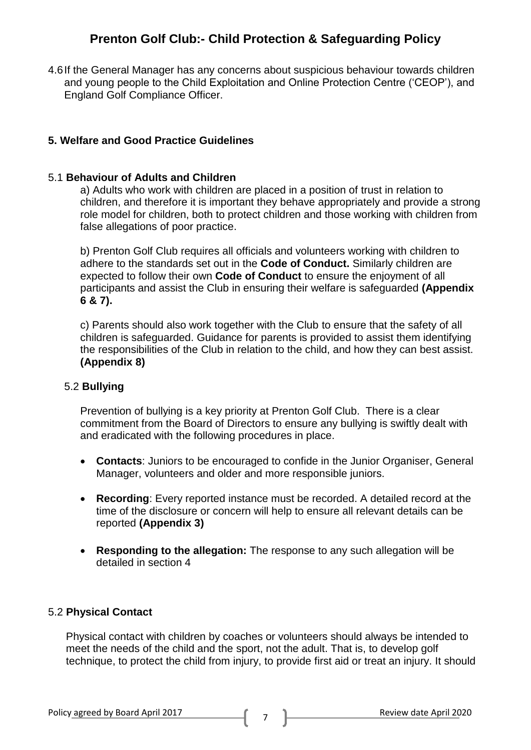4.6If the General Manager has any concerns about suspicious behaviour towards children and young people to the Child Exploitation and Online Protection Centre ('CEOP'), and England Golf Compliance Officer.

### **5. Welfare and Good Practice Guidelines**

#### 5.1 **Behaviour of Adults and Children**

a) Adults who work with children are placed in a position of trust in relation to children, and therefore it is important they behave appropriately and provide a strong role model for children, both to protect children and those working with children from false allegations of poor practice.

b) Prenton Golf Club requires all officials and volunteers working with children to adhere to the standards set out in the **Code of Conduct.** Similarly children are expected to follow their own **Code of Conduct** to ensure the enjoyment of all participants and assist the Club in ensuring their welfare is safeguarded **(Appendix 6 & 7).**

c) Parents should also work together with the Club to ensure that the safety of all children is safeguarded. Guidance for parents is provided to assist them identifying the responsibilities of the Club in relation to the child, and how they can best assist. **(Appendix 8)**

#### 5.2 **Bullying**

Prevention of bullying is a key priority at Prenton Golf Club. There is a clear commitment from the Board of Directors to ensure any bullying is swiftly dealt with and eradicated with the following procedures in place.

- **Contacts**: Juniors to be encouraged to confide in the Junior Organiser, General Manager, volunteers and older and more responsible juniors.
- **Recording**: Every reported instance must be recorded. A detailed record at the time of the disclosure or concern will help to ensure all relevant details can be reported **(Appendix 3)**
- **Responding to the allegation:** The response to any such allegation will be detailed in section 4

#### 5.2 **Physical Contact**

Physical contact with children by coaches or volunteers should always be intended to meet the needs of the child and the sport, not the adult. That is, to develop golf technique, to protect the child from injury, to provide first aid or treat an injury. It should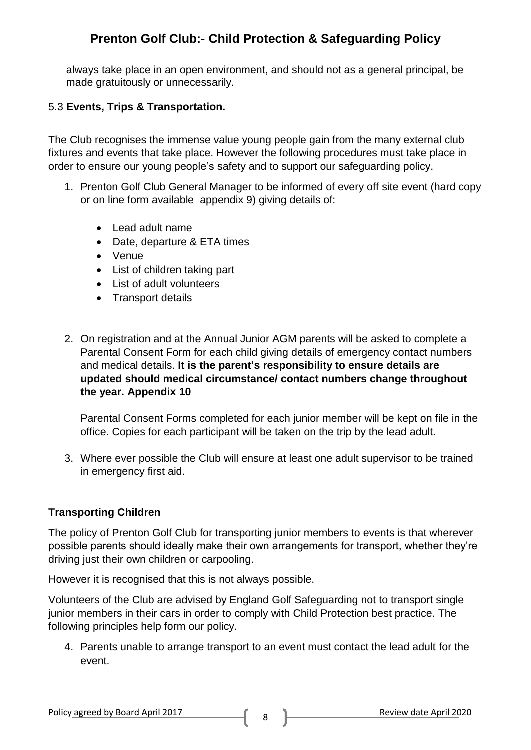always take place in an open environment, and should not as a general principal, be made gratuitously or unnecessarily.

### 5.3 **Events, Trips & Transportation.**

The Club recognises the immense value young people gain from the many external club fixtures and events that take place. However the following procedures must take place in order to ensure our young people's safety and to support our safeguarding policy.

- 1. Prenton Golf Club General Manager to be informed of every off site event (hard copy or on line form available appendix 9) giving details of:
	- Lead adult name
	- Date, departure & ETA times
	- Venue
	- List of children taking part
	- List of adult volunteers
	- Transport details
- 2. On registration and at the Annual Junior AGM parents will be asked to complete a Parental Consent Form for each child giving details of emergency contact numbers and medical details. **It is the parent's responsibility to ensure details are updated should medical circumstance/ contact numbers change throughout the year. Appendix 10**

Parental Consent Forms completed for each junior member will be kept on file in the office. Copies for each participant will be taken on the trip by the lead adult.

3. Where ever possible the Club will ensure at least one adult supervisor to be trained in emergency first aid.

#### **Transporting Children**

The policy of Prenton Golf Club for transporting junior members to events is that wherever possible parents should ideally make their own arrangements for transport, whether they're driving just their own children or carpooling.

However it is recognised that this is not always possible.

Volunteers of the Club are advised by England Golf Safeguarding not to transport single junior members in their cars in order to comply with Child Protection best practice. The following principles help form our policy.

4. Parents unable to arrange transport to an event must contact the lead adult for the event.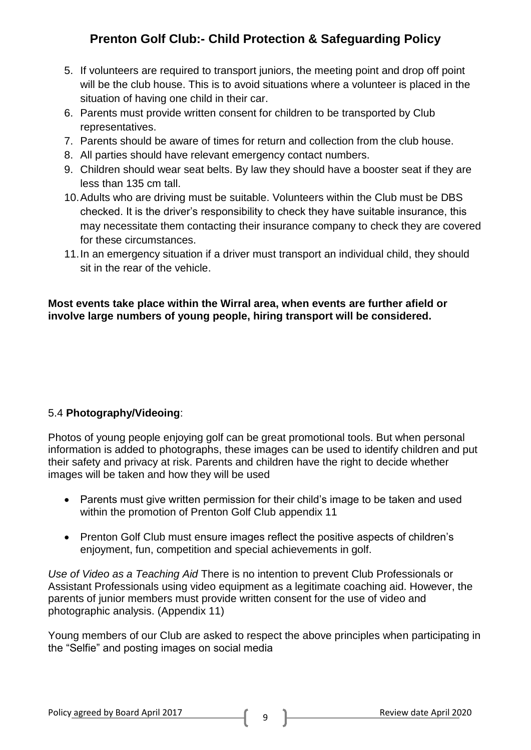- 5. If volunteers are required to transport juniors, the meeting point and drop off point will be the club house. This is to avoid situations where a volunteer is placed in the situation of having one child in their car.
- 6. Parents must provide written consent for children to be transported by Club representatives.
- 7. Parents should be aware of times for return and collection from the club house.
- 8. All parties should have relevant emergency contact numbers.
- 9. Children should wear seat belts. By law they should have a booster seat if they are less than 135 cm tall.
- 10.Adults who are driving must be suitable. Volunteers within the Club must be DBS checked. It is the driver's responsibility to check they have suitable insurance, this may necessitate them contacting their insurance company to check they are covered for these circumstances.
- 11.In an emergency situation if a driver must transport an individual child, they should sit in the rear of the vehicle.

### **Most events take place within the Wirral area, when events are further afield or involve large numbers of young people, hiring transport will be considered.**

# 5.4 **Photography/Videoing**:

Photos of young people enjoying golf can be great promotional tools. But when personal information is added to photographs, these images can be used to identify children and put their safety and privacy at risk. Parents and children have the right to decide whether images will be taken and how they will be used

- Parents must give written permission for their child's image to be taken and used within the promotion of Prenton Golf Club appendix 11
- Prenton Golf Club must ensure images reflect the positive aspects of children's enjoyment, fun, competition and special achievements in golf.

*Use of Video as a Teaching Aid* There is no intention to prevent Club Professionals or Assistant Professionals using video equipment as a legitimate coaching aid. However, the parents of junior members must provide written consent for the use of video and photographic analysis. (Appendix 11)

Young members of our Club are asked to respect the above principles when participating in the "Selfie" and posting images on social media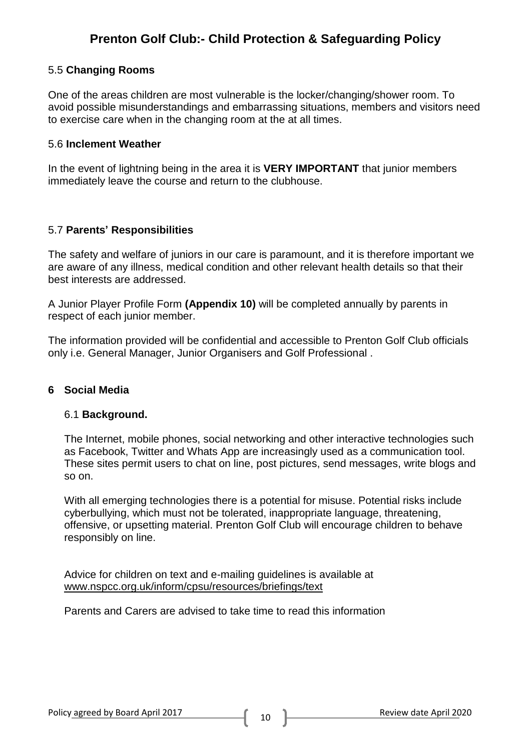#### 5.5 **Changing Rooms**

One of the areas children are most vulnerable is the locker/changing/shower room. To avoid possible misunderstandings and embarrassing situations, members and visitors need to exercise care when in the changing room at the at all times.

#### 5.6 **Inclement Weather**

In the event of lightning being in the area it is **VERY IMPORTANT** that junior members immediately leave the course and return to the clubhouse.

### 5.7 **Parents' Responsibilities**

The safety and welfare of juniors in our care is paramount, and it is therefore important we are aware of any illness, medical condition and other relevant health details so that their best interests are addressed.

A Junior Player Profile Form **(Appendix 10)** will be completed annually by parents in respect of each junior member.

The information provided will be confidential and accessible to Prenton Golf Club officials only i.e. General Manager, Junior Organisers and Golf Professional .

#### **6 Social Media**

#### 6.1 **Background.**

The Internet, mobile phones, social networking and other interactive technologies such as Facebook, Twitter and Whats App are increasingly used as a communication tool. These sites permit users to chat on line, post pictures, send messages, write blogs and so on.

With all emerging technologies there is a potential for misuse. Potential risks include cyberbullying, which must not be tolerated, inappropriate language, threatening, offensive, or upsetting material. Prenton Golf Club will encourage children to behave responsibly on line.

Advice for children on text and e-mailing guidelines is available at [www.nspcc.org.uk/inform/cpsu/resources/briefings/text](http://www.nspcc.org.uk/inform/cpsu/resources/briefings/text)

Parents and Carers are advised to take time to read this information